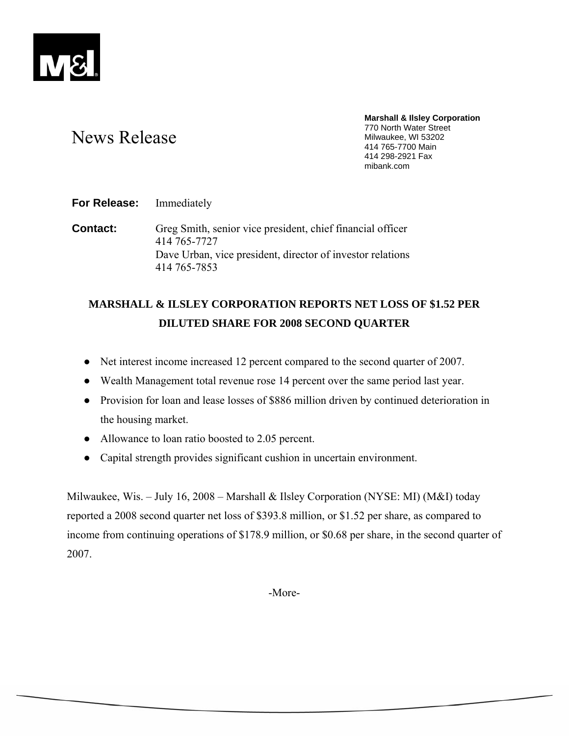

# News Release

**Marshall & Ilsley Corporation**  770 North Water Street Milwaukee, WI 53202 414 765-7700 Main 414 298-2921 Fax mibank.com

**For Release:** Immediately

**Contact:** Greg Smith, senior vice president, chief financial officer 414 765-7727 Dave Urban, vice president, director of investor relations 414 765-7853

## **MARSHALL & ILSLEY CORPORATION REPORTS NET LOSS OF \$1.52 PER DILUTED SHARE FOR 2008 SECOND QUARTER**

- Net interest income increased 12 percent compared to the second quarter of 2007.
- Wealth Management total revenue rose 14 percent over the same period last year.
- Provision for loan and lease losses of \$886 million driven by continued deterioration in the housing market.
- Allowance to loan ratio boosted to 2.05 percent.
- Capital strength provides significant cushion in uncertain environment.

Milwaukee, Wis. – July 16, 2008 – Marshall & Ilsley Corporation (NYSE: MI) (M&I) today reported a 2008 second quarter net loss of \$393.8 million, or \$1.52 per share, as compared to income from continuing operations of \$178.9 million, or \$0.68 per share, in the second quarter of 2007.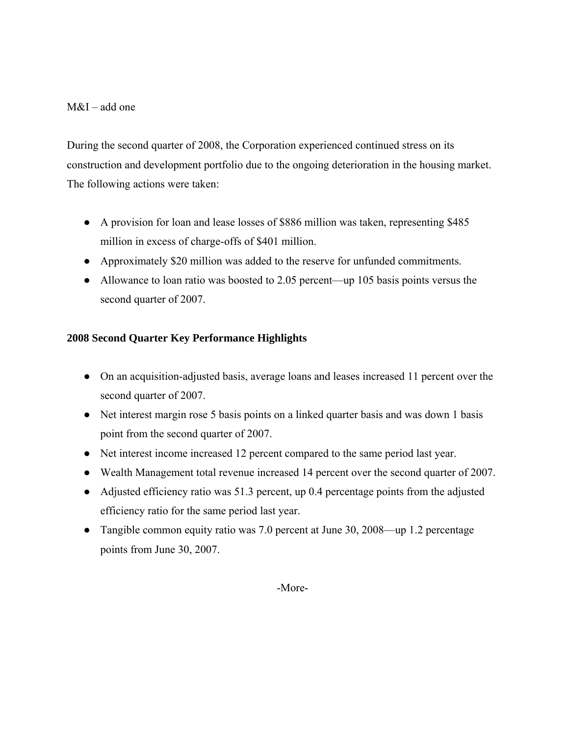## M&I – add one

During the second quarter of 2008, the Corporation experienced continued stress on its construction and development portfolio due to the ongoing deterioration in the housing market. The following actions were taken:

- A provision for loan and lease losses of \$886 million was taken, representing \$485 million in excess of charge-offs of \$401 million.
- Approximately \$20 million was added to the reserve for unfunded commitments.
- Allowance to loan ratio was boosted to 2.05 percent—up 105 basis points versus the second quarter of 2007.

## **2008 Second Quarter Key Performance Highlights**

- On an acquisition-adjusted basis, average loans and leases increased 11 percent over the second quarter of 2007.
- Net interest margin rose 5 basis points on a linked quarter basis and was down 1 basis point from the second quarter of 2007.
- Net interest income increased 12 percent compared to the same period last year.
- Wealth Management total revenue increased 14 percent over the second quarter of 2007.
- Adjusted efficiency ratio was 51.3 percent, up 0.4 percentage points from the adjusted efficiency ratio for the same period last year.
- Tangible common equity ratio was 7.0 percent at June 30, 2008—up 1.2 percentage points from June 30, 2007.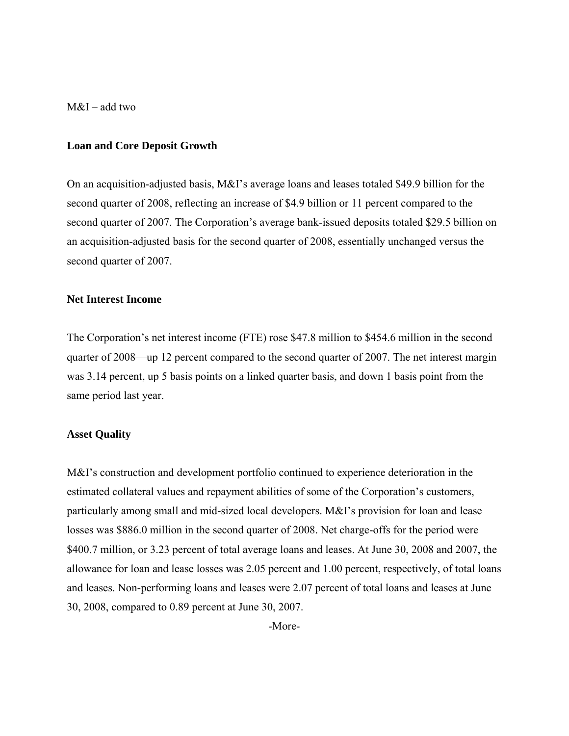M&I – add two

#### **Loan and Core Deposit Growth**

On an acquisition-adjusted basis, M&I's average loans and leases totaled \$49.9 billion for the second quarter of 2008, reflecting an increase of \$4.9 billion or 11 percent compared to the second quarter of 2007. The Corporation's average bank-issued deposits totaled \$29.5 billion on an acquisition-adjusted basis for the second quarter of 2008, essentially unchanged versus the second quarter of 2007.

#### **Net Interest Income**

The Corporation's net interest income (FTE) rose \$47.8 million to \$454.6 million in the second quarter of 2008—up 12 percent compared to the second quarter of 2007. The net interest margin was 3.14 percent, up 5 basis points on a linked quarter basis, and down 1 basis point from the same period last year.

#### **Asset Quality**

M&I's construction and development portfolio continued to experience deterioration in the estimated collateral values and repayment abilities of some of the Corporation's customers, particularly among small and mid-sized local developers. M&I's provision for loan and lease losses was \$886.0 million in the second quarter of 2008. Net charge-offs for the period were \$400.7 million, or 3.23 percent of total average loans and leases. At June 30, 2008 and 2007, the allowance for loan and lease losses was 2.05 percent and 1.00 percent, respectively, of total loans and leases. Non-performing loans and leases were 2.07 percent of total loans and leases at June 30, 2008, compared to 0.89 percent at June 30, 2007.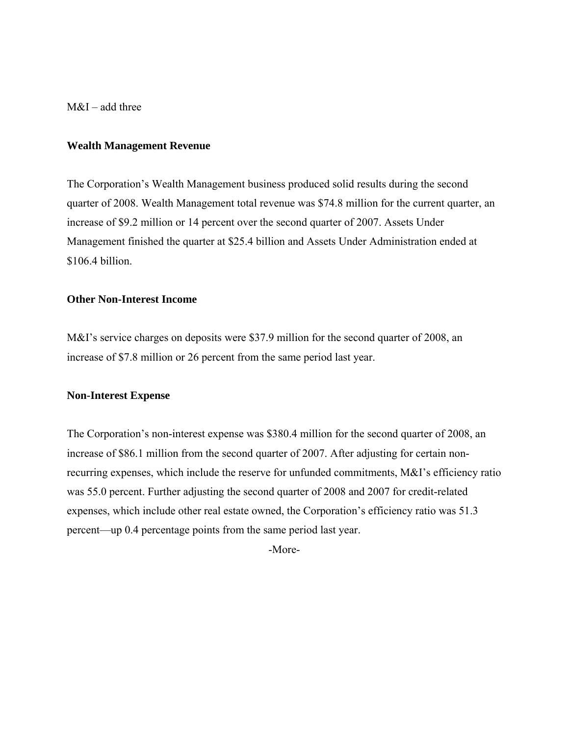M&I – add three

#### **Wealth Management Revenue**

The Corporation's Wealth Management business produced solid results during the second quarter of 2008. Wealth Management total revenue was \$74.8 million for the current quarter, an increase of \$9.2 million or 14 percent over the second quarter of 2007. Assets Under Management finished the quarter at \$25.4 billion and Assets Under Administration ended at \$106.4 billion.

#### **Other Non-Interest Income**

M&I's service charges on deposits were \$37.9 million for the second quarter of 2008, an increase of \$7.8 million or 26 percent from the same period last year.

#### **Non-Interest Expense**

The Corporation's non-interest expense was \$380.4 million for the second quarter of 2008, an increase of \$86.1 million from the second quarter of 2007. After adjusting for certain nonrecurring expenses, which include the reserve for unfunded commitments, M&I's efficiency ratio was 55.0 percent. Further adjusting the second quarter of 2008 and 2007 for credit-related expenses, which include other real estate owned, the Corporation's efficiency ratio was 51.3 percent—up 0.4 percentage points from the same period last year.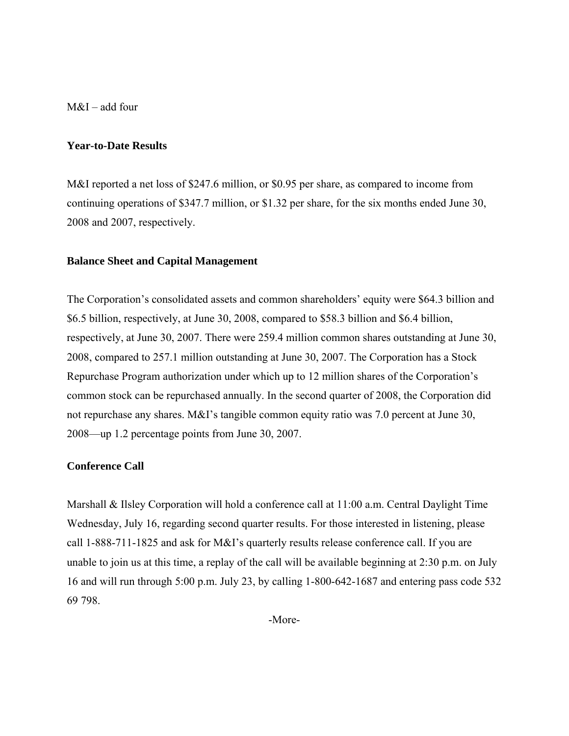M&I – add four

#### **Year-to-Date Results**

M&I reported a net loss of \$247.6 million, or \$0.95 per share, as compared to income from continuing operations of \$347.7 million, or \$1.32 per share, for the six months ended June 30, 2008 and 2007, respectively.

#### **Balance Sheet and Capital Management**

The Corporation's consolidated assets and common shareholders' equity were \$64.3 billion and \$6.5 billion, respectively, at June 30, 2008, compared to \$58.3 billion and \$6.4 billion, respectively, at June 30, 2007. There were 259.4 million common shares outstanding at June 30, 2008, compared to 257.1 million outstanding at June 30, 2007. The Corporation has a Stock Repurchase Program authorization under which up to 12 million shares of the Corporation's common stock can be repurchased annually. In the second quarter of 2008, the Corporation did not repurchase any shares. M&I's tangible common equity ratio was 7.0 percent at June 30, 2008—up 1.2 percentage points from June 30, 2007.

#### **Conference Call**

Marshall & Ilsley Corporation will hold a conference call at 11:00 a.m. Central Daylight Time Wednesday, July 16, regarding second quarter results. For those interested in listening, please call 1-888-711-1825 and ask for M&I's quarterly results release conference call. If you are unable to join us at this time, a replay of the call will be available beginning at 2:30 p.m. on July 16 and will run through 5:00 p.m. July 23, by calling 1-800-642-1687 and entering pass code 532 69 798.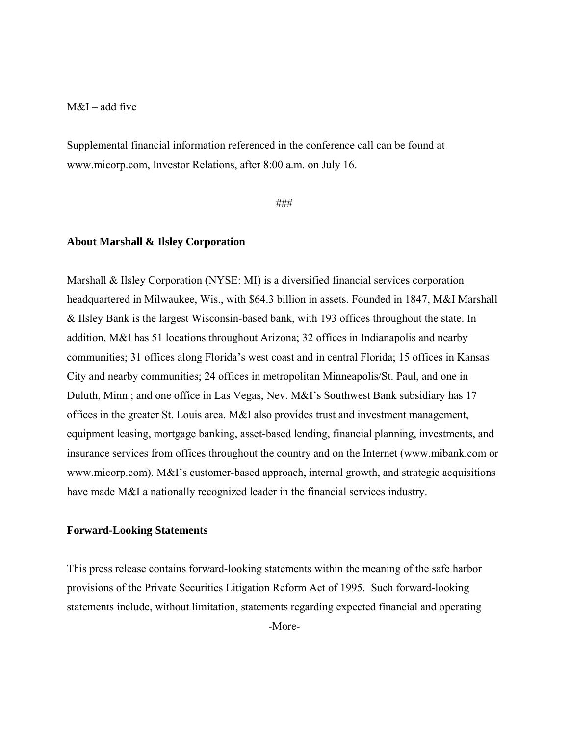### $M&I$  – add five

Supplemental financial information referenced in the conference call can be found at www.micorp.com, Investor Relations, after 8:00 a.m. on July 16.

###

#### **About Marshall & Ilsley Corporation**

Marshall & Ilsley Corporation (NYSE: MI) is a diversified financial services corporation headquartered in Milwaukee, Wis., with \$64.3 billion in assets. Founded in 1847, M&I Marshall & Ilsley Bank is the largest Wisconsin-based bank, with 193 offices throughout the state. In addition, M&I has 51 locations throughout Arizona; 32 offices in Indianapolis and nearby communities; 31 offices along Florida's west coast and in central Florida; 15 offices in Kansas City and nearby communities; 24 offices in metropolitan Minneapolis/St. Paul, and one in Duluth, Minn.; and one office in Las Vegas, Nev. M&I's Southwest Bank subsidiary has 17 offices in the greater St. Louis area. M&I also provides trust and investment management, equipment leasing, mortgage banking, asset-based lending, financial planning, investments, and insurance services from offices throughout the country and on the Internet (www.mibank.com or www.micorp.com). M&I's customer-based approach, internal growth, and strategic acquisitions have made M&I a nationally recognized leader in the financial services industry.

#### **Forward-Looking Statements**

This press release contains forward-looking statements within the meaning of the safe harbor provisions of the Private Securities Litigation Reform Act of 1995. Such forward-looking statements include, without limitation, statements regarding expected financial and operating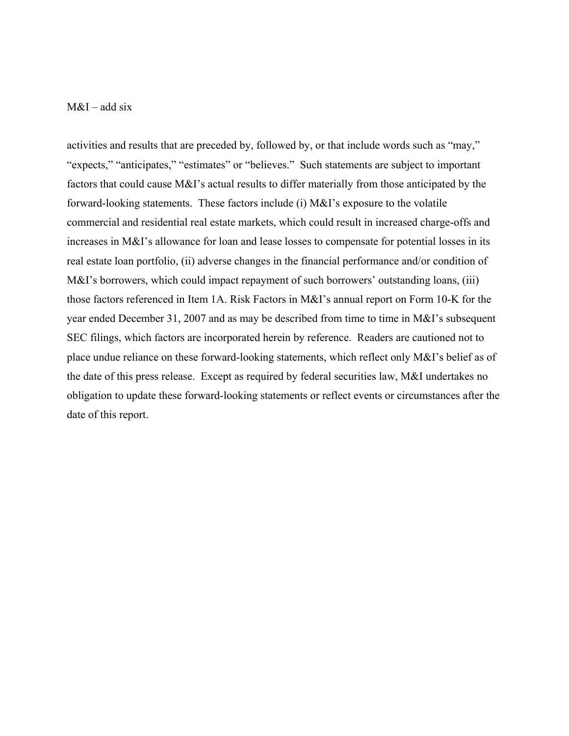#### $M&I$  – add six

activities and results that are preceded by, followed by, or that include words such as "may," "expects," "anticipates," "estimates" or "believes." Such statements are subject to important factors that could cause M&I's actual results to differ materially from those anticipated by the forward-looking statements. These factors include (i) M&I's exposure to the volatile commercial and residential real estate markets, which could result in increased charge-offs and increases in M&I's allowance for loan and lease losses to compensate for potential losses in its real estate loan portfolio, (ii) adverse changes in the financial performance and/or condition of M&I's borrowers, which could impact repayment of such borrowers' outstanding loans, (iii) those factors referenced in Item 1A. Risk Factors in M&I's annual report on Form 10-K for the year ended December 31, 2007 and as may be described from time to time in M&I's subsequent SEC filings, which factors are incorporated herein by reference. Readers are cautioned not to place undue reliance on these forward-looking statements, which reflect only M&I's belief as of the date of this press release. Except as required by federal securities law, M&I undertakes no obligation to update these forward-looking statements or reflect events or circumstances after the date of this report.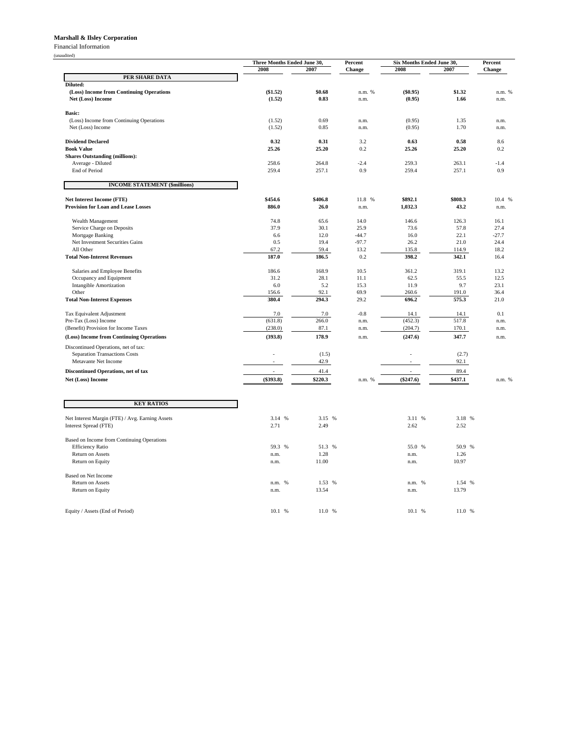#### **Marshall & Ilsley Corporation**

Financial Information

|                                                                              | Three Months Ended June 30.<br>Percent |                 |                | Six Months Ended June 30, | Percent         |                |
|------------------------------------------------------------------------------|----------------------------------------|-----------------|----------------|---------------------------|-----------------|----------------|
|                                                                              | 2008                                   | 2007            | Change         | 2008                      | 2007            | Change         |
| PER SHARE DATA                                                               |                                        |                 |                |                           |                 |                |
| Diluted:                                                                     |                                        |                 |                |                           |                 |                |
| (Loss) Income from Continuing Operations                                     | (\$1.52)                               | \$0.68          | n.m. %         | (\$0.95)                  | \$1.32          | n.m. %         |
| Net (Loss) Income                                                            | (1.52)                                 | 0.83            | n.m.           | (0.95)                    | 1.66            | n.m.           |
| <b>Basic:</b>                                                                |                                        |                 |                |                           |                 |                |
| (Loss) Income from Continuing Operations                                     | (1.52)                                 | 0.69            | n.m.           | (0.95)                    | 1.35            | n.m.           |
| Net (Loss) Income                                                            | (1.52)                                 | 0.85            | n.m.           | (0.95)                    | 1.70            | n.m.           |
|                                                                              |                                        |                 |                |                           |                 |                |
| <b>Dividend Declared</b>                                                     | 0.32                                   | 0.31            | 3.2            | 0.63                      | 0.58            | 8.6            |
| <b>Book Value</b>                                                            | 25.26                                  | 25.20           | 0.2            | 25.26                     | 25.20           | 0.2            |
| <b>Shares Outstanding (millions):</b>                                        |                                        |                 |                |                           |                 |                |
| Average - Diluted                                                            | 258.6                                  | 264.8           | $-2.4$         | 259.3                     | 263.1           | $-1.4$         |
| End of Period                                                                | 259.4                                  | 257.1           | 0.9            | 259.4                     | 257.1           | 0.9            |
| <b>INCOME STATEMENT (\$millions)</b>                                         |                                        |                 |                |                           |                 |                |
|                                                                              |                                        |                 |                |                           |                 |                |
| Net Interest Income (FTE)<br><b>Provision for Loan and Lease Losses</b>      | \$454.6<br>886.0                       | \$406.8<br>26.0 | 11.8 %<br>n.m. | \$892.1<br>1,032.3        | \$808.3<br>43.2 | 10.4 %<br>n.m. |
|                                                                              |                                        |                 |                |                           |                 |                |
| Wealth Management                                                            | 74.8                                   | 65.6            | 14.0           | 146.6                     | 126.3           | 16.1           |
| Service Charge on Deposits                                                   | 37.9                                   | 30.1            | 25.9           | 73.6                      | 57.8            | 27.4           |
| Mortgage Banking                                                             | 6.6                                    | 12.0            | $-44.7$        | 16.0                      | 22.1            | $-27.7$        |
| Net Investment Securities Gains                                              | 0.5                                    | 19.4            | $-97.7$        | 26.2                      | 21.0            | 24.4           |
| All Other                                                                    | 67.2                                   | 59.4            | 13.2           | 135.8                     | 114.9           | 18.2           |
| <b>Total Non-Interest Revenues</b>                                           | 187.0                                  | 186.5           | 0.2            | 398.2                     | 342.1           | 16.4           |
|                                                                              |                                        |                 |                |                           |                 |                |
| Salaries and Employee Benefits                                               | 186.6                                  | 168.9           | 10.5           | 361.2                     | 319.1           | 13.2           |
| Occupancy and Equipment                                                      | 31.2                                   | 28.1            | 11.1           | 62.5                      | 55.5            | 12.5           |
| <b>Intangible Amortization</b>                                               | 6.0                                    | 5.2             | 15.3           | 11.9                      | 9.7             | 23.1           |
| Other                                                                        | 156.6<br>380.4                         | 92.1<br>294.3   | 69.9<br>29.2   | 260.6<br>696.2            | 191.0<br>575.3  | 36.4<br>21.0   |
| <b>Total Non-Interest Expenses</b>                                           |                                        |                 |                |                           |                 |                |
| Tax Equivalent Adjustment                                                    | 7.0                                    | 7.0             | $-0.8$         | 14.1                      | 14.1            | 0.1            |
| Pre-Tax (Loss) Income                                                        | (631.8)                                | 266.0           | n.m.           | (452.3)                   | 517.8           | n.m.           |
| (Benefit) Provision for Income Taxes                                         | (238.0)                                | 87.1            | n.m.           | (204.7)                   | 170.1           | n.m.           |
| (Loss) Income from Continuing Operations                                     | (393.8)                                | 178.9           | n.m.           | (247.6)                   | 347.7           | n.m.           |
|                                                                              |                                        |                 |                |                           |                 |                |
| Discontinued Operations, net of tax:<br><b>Separation Transactions Costs</b> |                                        | (1.5)           |                |                           | (2.7)           |                |
| Metavante Net Income                                                         |                                        | 42.9            |                |                           | 92.1            |                |
|                                                                              |                                        |                 |                |                           |                 |                |
| Discontinued Operations, net of tax                                          |                                        | 41.4            |                |                           | 89.4            |                |
| Net (Loss) Income                                                            | $(\$393.8)$                            | \$220.3         | n.m. %         | $(\$247.6)$               | \$437.1         | n.m. %         |
|                                                                              |                                        |                 |                |                           |                 |                |
| <b>KEY RATIOS</b>                                                            |                                        |                 |                |                           |                 |                |
|                                                                              |                                        |                 |                |                           |                 |                |
| Net Interest Margin (FTE) / Avg. Earning Assets                              | 3.14 %                                 | 3.15 %          |                | 3.11 %                    | 3.18 %          |                |
| Interest Spread (FTE)                                                        | 2.71                                   | 2.49            |                | 2.62                      | 2.52            |                |
|                                                                              |                                        |                 |                |                           |                 |                |
| Based on Income from Continuing Operations                                   |                                        |                 |                |                           |                 |                |
| <b>Efficiency Ratio</b>                                                      | 59.3<br>%                              | 51.3<br>%       |                | 55.0 %                    | 50.9 %          |                |
| Return on Assets                                                             | n.m.                                   | 1.28            |                | n.m.                      | 1.26            |                |
| Return on Equity                                                             | n.m.                                   | 11.00           |                | n.m.                      | 10.97           |                |
|                                                                              |                                        |                 |                |                           |                 |                |
| Based on Net Income                                                          |                                        | 1.53 %          |                |                           | 1.54 %          |                |
| Return on Assets<br>Return on Equity                                         | %<br>n.m.<br>n.m.                      | 13.54           |                | n.m. %<br>n.m.            | 13.79           |                |
|                                                                              |                                        |                 |                |                           |                 |                |
|                                                                              |                                        |                 |                |                           |                 |                |
| Equity / Assets (End of Period)                                              | 10.1<br>%                              | 11.0 %          |                | 10.1%                     | 11.0 %          |                |

(unaudited)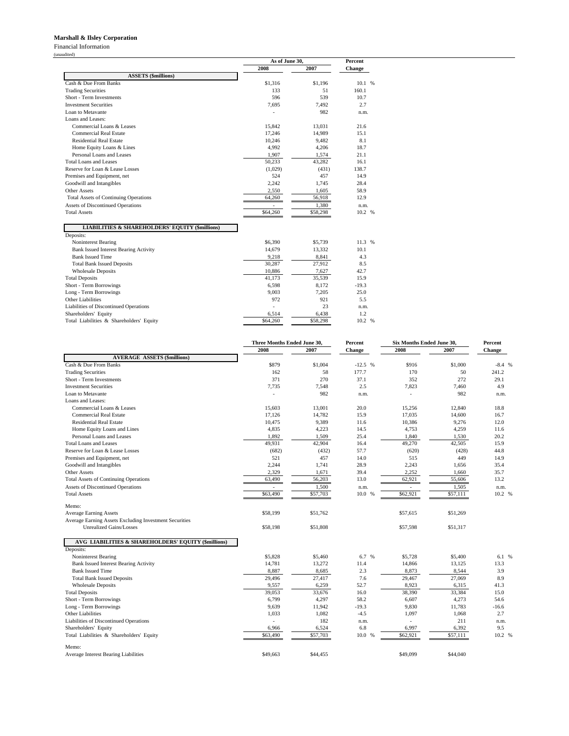#### **Marshall & Ilsley Corporation**

Financial Information

(unaudited)

|                                                            | As of June 30, |          | Percent |  |
|------------------------------------------------------------|----------------|----------|---------|--|
|                                                            | 2008           | 2007     | Change  |  |
| <b>ASSETS</b> (\$millions)                                 |                |          |         |  |
| Cash & Due From Banks                                      | \$1,316        | \$1.196  | 10.1 %  |  |
| <b>Trading Securities</b>                                  | 133            | 51       | 160.1   |  |
| Short - Term Investments                                   | 596            | 539      | 10.7    |  |
| <b>Investment Securities</b>                               | 7,695          | 7,492    | 2.7     |  |
| Loan to Metavante                                          |                | 982      | n.m.    |  |
| Loans and Leases:                                          |                |          |         |  |
| Commercial Loans & Leases                                  | 15,842         | 13,031   | 21.6    |  |
| <b>Commercial Real Estate</b>                              | 17,246         | 14,989   | 15.1    |  |
| <b>Residential Real Estate</b>                             | 10,246         | 9,482    | 8.1     |  |
| Home Equity Loans & Lines                                  | 4,992          | 4,206    | 18.7    |  |
| Personal Loans and Leases                                  | 1,907          | 1,574    | 21.1    |  |
| Total Loans and Leases                                     | 50,233         | 43,282   | 16.1    |  |
| Reserve for Loan & Lease Losses                            | (1,029)        | (431)    | 138.7   |  |
| Premises and Equipment, net                                | 524            | 457      | 14.9    |  |
| Goodwill and Intangibles                                   | 2,242          | 1,745    | 28.4    |  |
| <b>Other Assets</b>                                        | 2,550          | 1,605    | 58.9    |  |
| <b>Total Assets of Continuing Operations</b>               | 64,260         | 56,918   | 12.9    |  |
| <b>Assets of Discontinued Operations</b>                   |                | 1.380    | n.m.    |  |
| <b>Total Assets</b>                                        | \$64,260       | \$58,298 | 10.2 %  |  |
| <b>LIABILITIES &amp; SHAREHOLDERS' EQUITY (\$millions)</b> |                |          |         |  |
| Deposits:                                                  |                |          |         |  |
| Noninterest Bearing                                        | \$6,390        | \$5,739  | 11.3 %  |  |
| <b>Bank Issued Interest Bearing Activity</b>               | 14,679         | 13,332   | 10.1    |  |
| <b>Bank Issued Time</b>                                    | 9,218          | 8,841    | 4.3     |  |
| <b>Total Bank Issued Deposits</b>                          | 30,287         | 27,912   | 8.5     |  |
| <b>Wholesale Deposits</b>                                  | 10,886         | 7.627    | 42.7    |  |
| <b>Total Deposits</b>                                      | 41,173         | 35,539   | 15.9    |  |
| Short - Term Borrowings                                    | 6,598          | 8,172    | $-19.3$ |  |
| Long - Term Borrowings                                     | 9,003          | 7,205    | 25.0    |  |
| <b>Other Liabilities</b>                                   | 972            | 921      | 5.5     |  |
| Liabilities of Discontinued Operations                     | L.             | 23       | n.m.    |  |
| Shareholders' Equity                                       | 6,514          | 6,438    | 1.2     |  |
| Total Liabilities & Shareholders' Equity                   | \$64,260       | \$58,298 | 10.2 %  |  |

|                                                        | Three Months Ended June 30, |          | Percent  | Six Months Ended June 30, |          | Percent |
|--------------------------------------------------------|-----------------------------|----------|----------|---------------------------|----------|---------|
|                                                        | 2008                        | 2007     | Change   | 2008                      | 2007     | Change  |
| <b>AVERAGE ASSETS (\$millions)</b>                     |                             |          |          |                           |          |         |
| Cash & Due From Banks                                  | \$879                       | \$1,004  | $-12.5%$ | \$916                     | \$1,000  | $-8.4%$ |
| <b>Trading Securities</b>                              | 162                         | 58       | 177.7    | 170                       | 50       | 241.2   |
| Short - Term Investments                               | 371                         | 270      | 37.1     | 352                       | 272      | 29.1    |
| <b>Investment Securities</b>                           | 7,735                       | 7,548    | 2.5      | 7,823                     | 7,460    | 4.9     |
| Loan to Metavante                                      |                             | 982      | n.m.     |                           | 982      | n.m.    |
| Loans and Leases:                                      |                             |          |          |                           |          |         |
| Commercial Loans & Leases                              | 15,603                      | 13,001   | 20.0     | 15,256                    | 12,840   | 18.8    |
| <b>Commercial Real Estate</b>                          | 17.126                      | 14,782   | 15.9     | 17,035                    | 14,600   | 16.7    |
| <b>Residential Real Estate</b>                         | 10,475                      | 9,389    | 11.6     | 10,386                    | 9,276    | 12.0    |
| Home Equity Loans and Lines                            | 4,835                       | 4,223    | 14.5     | 4,753                     | 4,259    | 11.6    |
| Personal Loans and Leases                              | 1,892                       | 1,509    | 25.4     | 1,840                     | 1,530    | 20.2    |
| <b>Total Loans and Leases</b>                          | 49,931                      | 42,904   | 16.4     | 49.270                    | 42,505   | 15.9    |
| Reserve for Loan & Lease Losses                        | (682)                       | (432)    | 57.7     | (620)                     | (428)    | 44.8    |
| Premises and Equipment, net                            | 521                         | 457      | 14.0     | 515                       | 449      | 14.9    |
| Goodwill and Intangibles                               | 2,244                       | 1,741    | 28.9     | 2,243                     | 1,656    | 35.4    |
| <b>Other Assets</b>                                    | 2,329                       | 1,671    | 39.4     | 2,252                     | 1,660    | 35.7    |
| <b>Total Assets of Continuing Operations</b>           | 63,490                      | 56,203   | 13.0     | 62,921                    | 55,606   | 13.2    |
| Assets of Discontinued Operations                      |                             | 1,500    | n.m.     |                           | 1,505    | n.m.    |
| <b>Total Assets</b>                                    | \$63,490                    | \$57,703 | 10.0 %   | \$62,921                  | \$57,111 | 10.2 %  |
| Memo:                                                  |                             |          |          |                           |          |         |
| <b>Average Earning Assets</b>                          | \$58,199                    | \$51,762 |          | \$57,615                  | \$51,269 |         |
| Average Earning Assets Excluding Investment Securities |                             |          |          |                           |          |         |
| <b>Unrealized Gains/Losses</b>                         | \$58,198                    | \$51,808 |          | \$57,598                  | \$51.317 |         |
| AVG LIABILITIES & SHAREHOLDERS' EQUITY (\$millions)    |                             |          |          |                           |          |         |
| Deposits:                                              |                             |          |          |                           |          |         |
| Noninterest Bearing                                    | \$5,828                     | \$5,460  | 6.7 %    | \$5,728                   | \$5,400  | 6.1 %   |
| <b>Bank Issued Interest Bearing Activity</b>           | 14,781                      | 13,272   | 11.4     | 14,866                    | 13,125   | 13.3    |
| <b>Bank Issued Time</b>                                | 8,887                       | 8,685    | 2.3      | 8,873                     | 8,544    | 3.9     |
| <b>Total Bank Issued Deposits</b>                      | 29,496                      | 27,417   | 7.6      | 29,467                    | 27,069   | 8.9     |
| <b>Wholesale Deposits</b>                              | 9,557                       | 6,259    | 52.7     | 8,923                     | 6,315    | 41.3    |
| <b>Total Deposits</b>                                  | 39,053                      | 33,676   | 16.0     | 38,390                    | 33,384   | 15.0    |
| Short - Term Borrowings                                | 6,799                       | 4,297    | 58.2     | 6,607                     | 4,273    | 54.6    |
| Long - Term Borrowings                                 | 9,639                       | 11,942   | $-19.3$  | 9,830                     | 11,783   | $-16.6$ |
| <b>Other Liabilities</b>                               | 1,033                       | 1,082    | $-4.5$   | 1,097                     | 1,068    | 2.7     |
| Liabilities of Discontinued Operations                 | ÷.                          | 182      | n.m.     |                           | 211      | n.m.    |
| Shareholders' Equity                                   | 6,966                       | 6,524    | 6.8      | 6,997                     | 6,392    | 9.5     |
| Total Liabilities & Shareholders' Equity               | \$63,490                    | \$57,703 | 10.0 %   | \$62,921                  | \$57,111 | 10.2 %  |
| Memo:                                                  |                             |          |          |                           |          |         |
| Average Interest Bearing Liabilities                   | \$49,663                    | \$44,455 |          | \$49,099                  | \$44,040 |         |